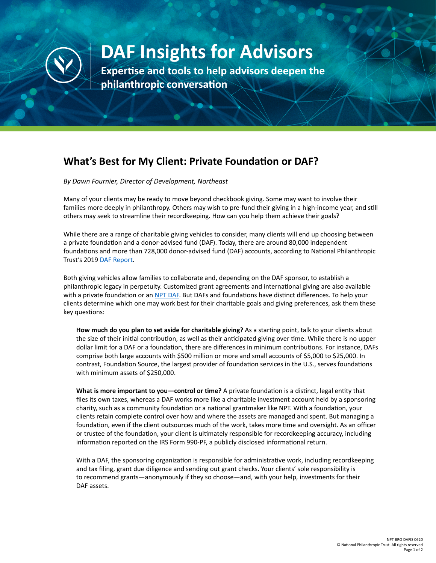

## **DAF Insights for Advisors**

**Expertise and tools to help advisors deepen the philanthropic conversation**

## **What's Best for My Client: Private Foundation or DAF?**

*By Dawn Fournier, Director of Development, Northeast*

Many of your clients may be ready to move beyond checkbook giving. Some may want to involve their families more deeply in philanthropy. Others may wish to pre-fund their giving in a high-income year, and still others may seek to streamline their recordkeeping. How can you help them achieve their goals?

While there are a range of charitable giving vehicles to consider, many clients will end up choosing between a private foundation and a donor-advised fund (DAF). Today, there are around 80,000 independent foundations and more than 728,000 donor-advised fund (DAF) accounts, according to National Philanthropic Trust's 2019 [DAF Report](https://www.nptrust.org/reports/daf-report/).

Both giving vehicles allow families to collaborate and, depending on the DAF sponsor, to establish a philanthropic legacy in perpetuity. Customized grant agreements and international giving are also available with a private foundation or an [NPT DAF](https://www.nptrust.org/donor-advised-funds/). But DAFs and foundations have distinct differences. To help your clients determine which one may work best for their charitable goals and giving preferences, ask them these key questions:

**How much do you plan to set aside for charitable giving?** As a starting point, talk to your clients about the size of their initial contribution, as well as their anticipated giving over time. While there is no upper dollar limit for a DAF or a foundation, there are differences in minimum contributions. For instance, DAFs comprise both large accounts with \$500 million or more and small accounts of \$5,000 to \$25,000. In contrast, Foundation Source, the largest provider of foundation services in the U.S., serves foundations with minimum assets of \$250,000.

**What is more important to you—control or time?** A private foundation is a distinct, legal entity that files its own taxes, whereas a DAF works more like a charitable investment account held by a sponsoring charity, such as a community foundation or a national grantmaker like NPT. With a foundation, your clients retain complete control over how and where the assets are managed and spent. But managing a foundation, even if the client outsources much of the work, takes more time and oversight. As an officer or trustee of the foundation, your client is ultimately responsible for recordkeeping accuracy, including information reported on the IRS Form 990-PF, a publicly disclosed informational return.

With a DAF, the sponsoring organization is responsible for administrative work, including recordkeeping and tax filing, grant due diligence and sending out grant checks. Your clients' sole responsibility is to recommend grants—anonymously if they so choose—and, with your help, investments for their DAF assets.